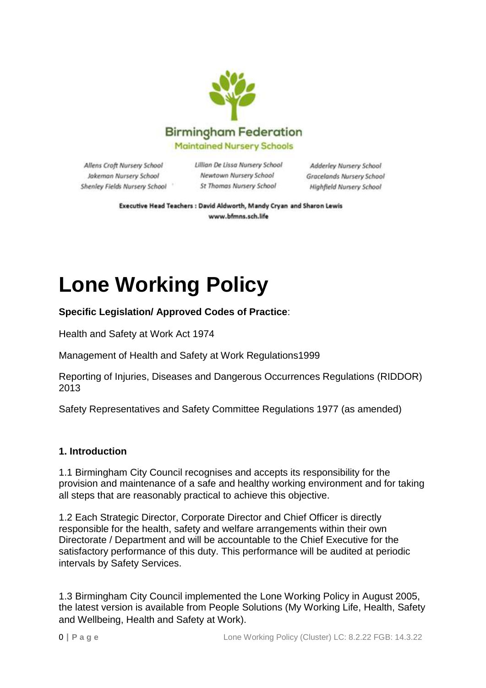

Allens Croft Nursery School Jakeman Nursery School Shenley Fields Nursery School Lillian De Lissa Nursery School Newtown Nursery School St Thomas Nursery School

Adderley Nursery School Gracelands Nursery School Highfield Nursery School

Executive Head Teachers : David Aldworth, Mandy Cryan and Sharon Lewis www.bfmns.sch.life

# **Lone Working Policy**

**Specific Legislation/ Approved Codes of Practice**:

Health and Safety at Work Act 1974

Management of Health and Safety at Work Regulations1999

Reporting of Injuries, Diseases and Dangerous Occurrences Regulations (RIDDOR) 2013

Safety Representatives and Safety Committee Regulations 1977 (as amended)

#### **1. Introduction**

1.1 Birmingham City Council recognises and accepts its responsibility for the provision and maintenance of a safe and healthy working environment and for taking all steps that are reasonably practical to achieve this objective.

1.2 Each Strategic Director, Corporate Director and Chief Officer is directly responsible for the health, safety and welfare arrangements within their own Directorate / Department and will be accountable to the Chief Executive for the satisfactory performance of this duty. This performance will be audited at periodic intervals by Safety Services.

1.3 Birmingham City Council implemented the Lone Working Policy in August 2005, the latest version is available from People Solutions (My Working Life, Health, Safety and Wellbeing, Health and Safety at Work).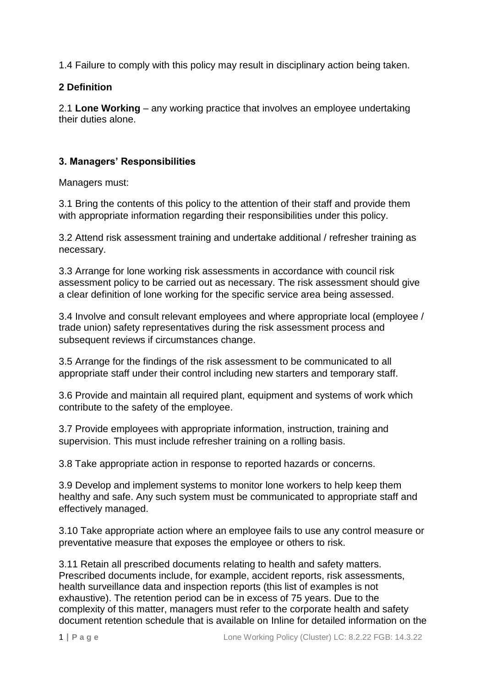1.4 Failure to comply with this policy may result in disciplinary action being taken.

## **2 Definition**

2.1 **Lone Working** – any working practice that involves an employee undertaking their duties alone.

## **3. Managers' Responsibilities**

Managers must:

3.1 Bring the contents of this policy to the attention of their staff and provide them with appropriate information regarding their responsibilities under this policy.

3.2 Attend risk assessment training and undertake additional / refresher training as necessary.

3.3 Arrange for lone working risk assessments in accordance with council risk assessment policy to be carried out as necessary. The risk assessment should give a clear definition of lone working for the specific service area being assessed.

3.4 Involve and consult relevant employees and where appropriate local (employee / trade union) safety representatives during the risk assessment process and subsequent reviews if circumstances change.

3.5 Arrange for the findings of the risk assessment to be communicated to all appropriate staff under their control including new starters and temporary staff.

3.6 Provide and maintain all required plant, equipment and systems of work which contribute to the safety of the employee.

3.7 Provide employees with appropriate information, instruction, training and supervision. This must include refresher training on a rolling basis.

3.8 Take appropriate action in response to reported hazards or concerns.

3.9 Develop and implement systems to monitor lone workers to help keep them healthy and safe. Any such system must be communicated to appropriate staff and effectively managed.

3.10 Take appropriate action where an employee fails to use any control measure or preventative measure that exposes the employee or others to risk.

3.11 Retain all prescribed documents relating to health and safety matters. Prescribed documents include, for example, accident reports, risk assessments, health surveillance data and inspection reports (this list of examples is not exhaustive). The retention period can be in excess of 75 years. Due to the complexity of this matter, managers must refer to the corporate health and safety document retention schedule that is available on Inline for detailed information on the